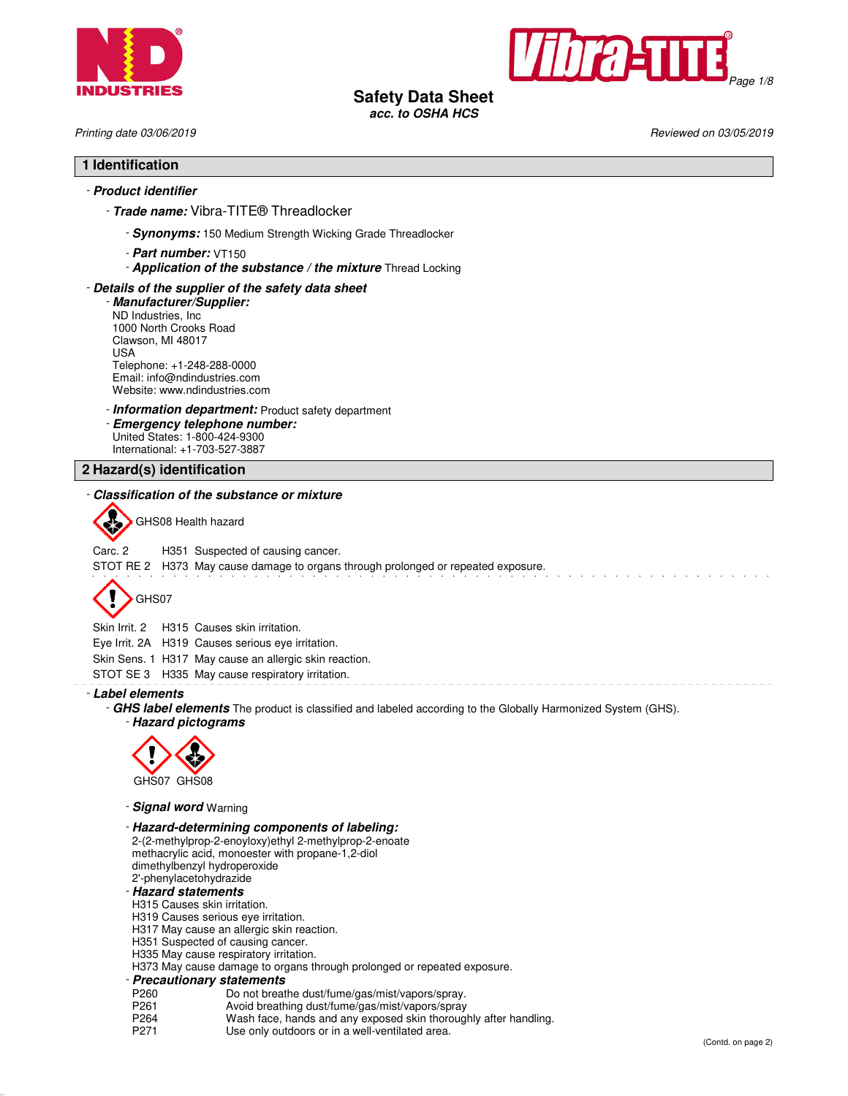



**Safety Data Sheet**

**acc. to OSHA HCS**

Printing date 03/06/2019 Reviewed on 03/05/2019

### **1 Identification**

## - **Product identifier**

- **Trade name:** Vibra-TITE® Threadlocker
	- **Synonyms:** 150 Medium Strength Wicking Grade Threadlocker
	- **Part number:** VT150
	- **Application of the substance / the mixture** Thread Locking

### - **Details of the supplier of the safety data sheet**

- **Manufacturer/Supplier:** ND Industries, Inc 1000 North Crooks Road Clawson, MI 48017 USA Telephone: +1-248-288-0000 Email: info@ndindustries.com Website: www.ndindustries.com

### - **Information department:** Product safety department

- **Emergency telephone number:** United States: 1-800-424-9300

International: +1-703-527-3887

### **2 Hazard(s) identification**

### - **Classification of the substance or mixture**

GHS08 Health hazard

Carc. 2 H351 Suspected of causing cancer.

STOT RE 2 H373 May cause damage to organs through prolonged or repeated exposure.



Skin Irrit. 2 H315 Causes skin irritation.

Eye Irrit. 2A H319 Causes serious eye irritation.

Skin Sens. 1 H317 May cause an allergic skin reaction.

STOT SE 3 H335 May cause respiratory irritation.

#### - **Label elements**

- **GHS label elements** The product is classified and labeled according to the Globally Harmonized System (GHS).

- **Hazard pictograms**



- **Signal word** Warning

- **Hazard-determining components of labeling:** 2-(2-methylprop-2-enoyloxy)ethyl 2-methylprop-2-enoate methacrylic acid, monoester with propane-1,2-diol dimethylbenzyl hydroperoxide 2'-phenylacetohydrazide

#### - **Hazard statements**

- H315 Causes skin irritation.
- H319 Causes serious eye irritation.
- H317 May cause an allergic skin reaction.
- H351 Suspected of causing cancer.
- H335 May cause respiratory irritation.
- H373 May cause damage to organs through prolonged or repeated exposure.
- **Precautionary statements**
- P260 Do not breathe dust/fume/gas/mist/vapors/spray.<br>P261 Avoid breathing dust/fume/gas/mist/vapors/spray
- P261 Avoid breathing dust/fume/gas/mist/vapors/spray<br>P264 Wash face, hands and any exposed skin thoroug
- P264 Wash face, hands and any exposed skin thoroughly after handling.<br>P271 Use only outdoors or in a well-ventilated area.
- Use only outdoors or in a well-ventilated area.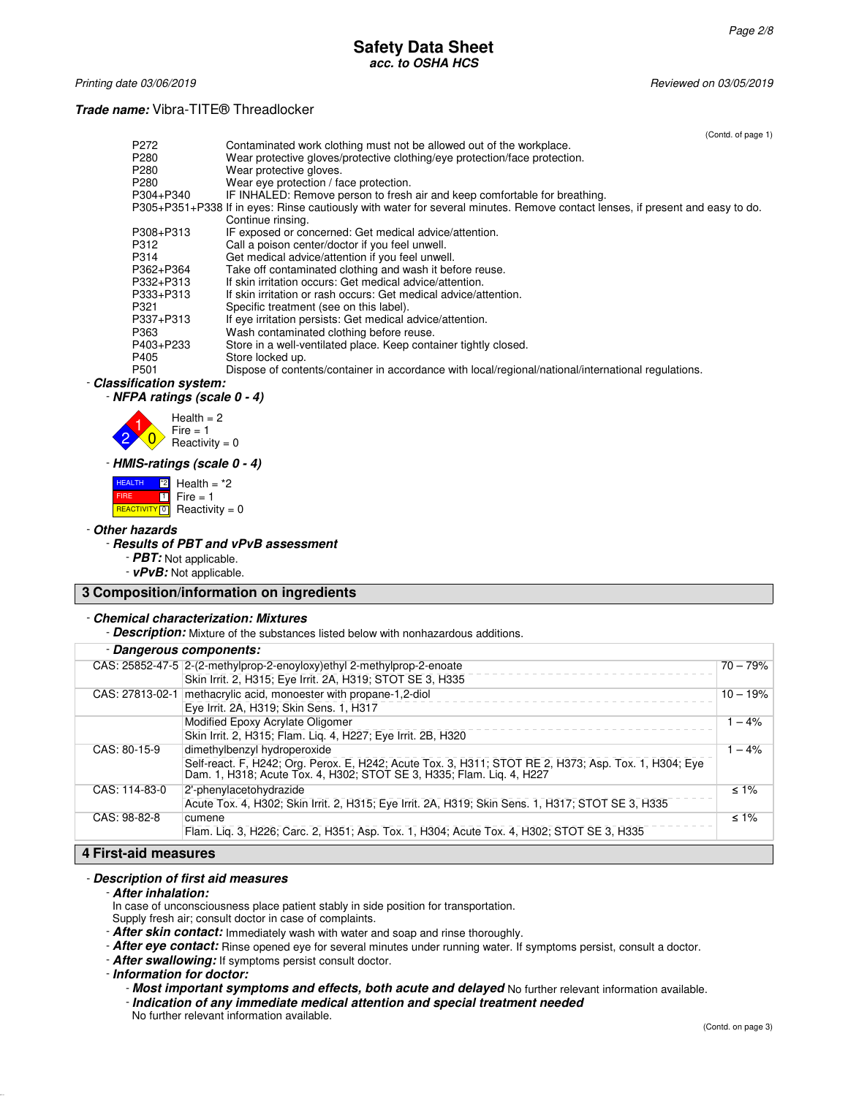#### **Safety Data Sheet acc. to OSHA HCS**

Printing date 03/06/2019 Reviewed on 03/05/2019

### **Trade name:** Vibra-TITE® Threadlocker

(Contd. of page 1) P272 Contaminated work clothing must not be allowed out of the workplace.<br>P280 Wear protective aloves/protective clothing/eve protection/face protectic P280 Wear protective gloves/protective clothing/eye protection/face protection.<br>P280 Wear protective gloves. P280 Wear protective gloves.<br>P280 Wear eve protection / fa P280 Wear eye protection / face protection.<br>P304+P340 IF INHALED: Remove person to fresh IF INHALED: Remove person to fresh air and keep comfortable for breathing. P305+P351+P338 If in eyes: Rinse cautiously with water for several minutes. Remove contact lenses, if present and easy to do. Continue rinsing. P308+P313 IF exposed or concerned: Get medical advice/attention.<br>P312 Call a poison center/doctor if you feel unwell. P312 Call a poison center/doctor if you feel unwell.<br>P314 Get medical advice/attention if you feel unwe P314 Get medical advice/attention if you feel unwell. P362+P364 Take off contaminated clothing and wash it before reuse.<br>P332+P313 If skin irritation occurs: Get medical advice/attention. P332+P313 If skin irritation occurs: Get medical advice/attention.<br>P333+P313 If skin irritation or rash occurs: Get medical advice/at P333+P313 If skin irritation or rash occurs: Get medical advice/attention.<br>P321 Specific treatment (see on this label). P321 Specific treatment (see on this label).<br>P337+P313 If eye irritation persists: Get medical a P337+P313 If eye irritation persists: Get medical advice/attention.<br>P363 Wash contaminated clothing before reuse. P363 Wash contaminated clothing before reuse.<br>P403+P233 Store in a well-ventilated place. Keep conta P403+P233 Store in a well-ventilated place. Keep container tightly closed.<br>P405 Store locked up. P405 Store locked up.<br>P501 Dispose of conte Dispose of contents/container in accordance with local/regional/national/international regulations. - **Classification system:** - **NFPA ratings (scale 0 - 4)** 1  $\overline{0}$  $Health = 2$  $Fire = 1$  $Reactivity = 0$ 

- **HMIS-ratings (scale 0 - 4)**

| <b>HEALTH</b> | $\frac{1}{2}$ Health = $2$                   |
|---------------|----------------------------------------------|
| <b>FIRE</b>   | $\P$ Fire = 1                                |
|               | <b>REACTIVITY</b> $\boxed{0}$ Reactivity = 0 |

#### - **Other hazards**

2

- **Results of PBT and vPvB assessment**

- **PBT:** Not applicable.
- **vPvB:** Not applicable.

# **3 Composition/information on ingredients**

### - **Chemical characterization: Mixtures**

- **Description:** Mixture of the substances listed below with nonhazardous additions.

### - **Dangerous components:**

|                             | <b>Dangerous components.</b>                                                                                                                                                   |            |
|-----------------------------|--------------------------------------------------------------------------------------------------------------------------------------------------------------------------------|------------|
|                             | CAS: 25852-47-5 2-(2-methylprop-2-enoyloxy)ethyl 2-methylprop-2-enoate                                                                                                         | $70 - 79%$ |
|                             | Skin Irrit. 2, H315; Eye Irrit. 2A, H319; STOT SE 3, H335                                                                                                                      |            |
|                             | CAS: 27813-02-1 methacrylic acid, monoester with propane-1,2-diol                                                                                                              | $10 - 19%$ |
|                             | Eye Irrit. 2A, H319; Skin Sens. 1, H317                                                                                                                                        |            |
|                             | Modified Epoxy Acrylate Oligomer                                                                                                                                               | $-4%$      |
|                             | Skin Irrit. 2, H315; Flam. Liq. 4, H227; Eye Irrit. 2B, H320                                                                                                                   |            |
| CAS: 80-15-9                | dimethylbenzyl hydroperoxide                                                                                                                                                   | $-4%$      |
|                             | Self-react. F, H242; Org. Perox. E, H242; Acute Tox. 3, H311; STOT RE 2, H373; Asp. Tox. 1, H304; Eve<br>Dam. 1, H318; Acute Tox. 4, H302; STOT SE 3, H335; Flam. Lig. 4, H227 |            |
| CAS: 114-83-0               | 2'-phenylacetohydrazide                                                                                                                                                        | $\leq 1\%$ |
|                             | Acute Tox. 4, H302; Skin Irrit. 2, H315; Eye Irrit. 2A, H319; Skin Sens. 1, H317; STOT SE 3, H335                                                                              |            |
| CAS: 98-82-8                | cumene                                                                                                                                                                         | $\leq 1\%$ |
|                             | Flam. Lig. 3, H226; Carc. 2, H351; Asp. Tox. 1, H304; Acute Tox. 4, H302; STOT SE 3, H335                                                                                      |            |
| <b>4 First-aid measures</b> |                                                                                                                                                                                |            |

# - **Description of first aid measures**

### - **After inhalation:**

In case of unconsciousness place patient stably in side position for transportation.

- **Most important symptoms and effects, both acute and delayed** No further relevant information available. - **Indication of any immediate medical attention and special treatment needed**

No further relevant information available.

Supply fresh air; consult doctor in case of complaints.

<sup>-</sup> **After skin contact:** Immediately wash with water and soap and rinse thoroughly.

<sup>-</sup> **After eye contact:** Rinse opened eye for several minutes under running water. If symptoms persist, consult a doctor.

<sup>-</sup> **After swallowing:** If symptoms persist consult doctor.

<sup>-</sup> **Information for doctor:**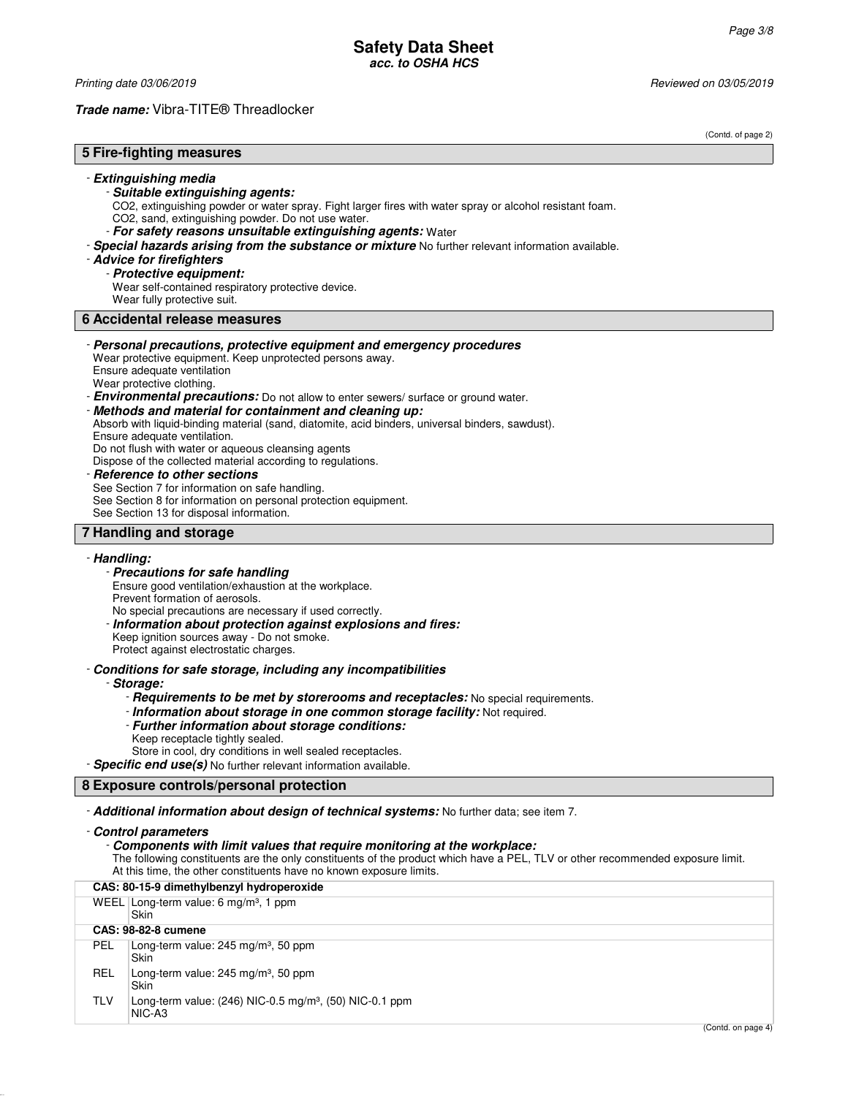Printing date 03/06/2019 **Reviewed on 03/05/2019** 

# **Trade name:** Vibra-TITE® Threadlocker

| (Contd. of page 2)                                                                                                                                                                                                                                                                                                                                                                                                                                                                                                                                                                                                                                                                                                                                                                                                   |
|----------------------------------------------------------------------------------------------------------------------------------------------------------------------------------------------------------------------------------------------------------------------------------------------------------------------------------------------------------------------------------------------------------------------------------------------------------------------------------------------------------------------------------------------------------------------------------------------------------------------------------------------------------------------------------------------------------------------------------------------------------------------------------------------------------------------|
| 5 Fire-fighting measures                                                                                                                                                                                                                                                                                                                                                                                                                                                                                                                                                                                                                                                                                                                                                                                             |
| - Extinguishing media<br>- Suitable extinguishing agents:<br>CO2, extinguishing powder or water spray. Fight larger fires with water spray or alcohol resistant foam.<br>CO2, sand, extinguishing powder. Do not use water.<br>- For safety reasons unsuitable extinguishing agents: Water<br>- Special hazards arising from the substance or mixture No further relevant information available.<br>- Advice for firefighters<br>- Protective equipment:<br>Wear self-contained respiratory protective device.<br>Wear fully protective suit.                                                                                                                                                                                                                                                                        |
| 6 Accidental release measures                                                                                                                                                                                                                                                                                                                                                                                                                                                                                                                                                                                                                                                                                                                                                                                        |
| - Personal precautions, protective equipment and emergency procedures<br>Wear protective equipment. Keep unprotected persons away.<br>Ensure adequate ventilation<br>Wear protective clothing.<br>- <b>Environmental precautions:</b> Do not allow to enter sewers/ surface or ground water.<br>- Methods and material for containment and cleaning up:<br>Absorb with liquid-binding material (sand, diatomite, acid binders, universal binders, sawdust).<br>Ensure adequate ventilation.<br>Do not flush with water or aqueous cleansing agents<br>Dispose of the collected material according to regulations.<br>- Reference to other sections<br>See Section 7 for information on safe handling.<br>See Section 8 for information on personal protection equipment.<br>See Section 13 for disposal information. |
| 7 Handling and storage                                                                                                                                                                                                                                                                                                                                                                                                                                                                                                                                                                                                                                                                                                                                                                                               |
| - Handling:<br>- Precautions for safe handling<br>Ensure good ventilation/exhaustion at the workplace.<br>Prevent formation of aerosols.<br>No special precautions are necessary if used correctly.<br>- Information about protection against explosions and fires:<br>Keep ignition sources away - Do not smoke.<br>Protect against electrostatic charges.                                                                                                                                                                                                                                                                                                                                                                                                                                                          |
| - Conditions for safe storage, including any incompatibilities<br>- Storage:<br>- Requirements to be met by storerooms and receptacles: No special requirements.<br>- Information about storage in one common storage facility: Not required.<br>- Further information about storage conditions:<br>Keep receptacle tightly sealed.<br>Store in cool, dry conditions in well sealed receptacles.<br>- Specific end use(s) No further relevant information available.                                                                                                                                                                                                                                                                                                                                                 |
| 8 Exposure controls/personal protection                                                                                                                                                                                                                                                                                                                                                                                                                                                                                                                                                                                                                                                                                                                                                                              |
| - Additional information about design of technical systems: No further data; see item 7.                                                                                                                                                                                                                                                                                                                                                                                                                                                                                                                                                                                                                                                                                                                             |
| - Control parameters<br>- Components with limit values that require monitoring at the workplace:<br>The following constituents are the only constituents of the product which have a PEL. TLV or other recommended exposure limit.<br>At this time, the other constituents have no known exposure limits.                                                                                                                                                                                                                                                                                                                                                                                                                                                                                                            |

|            | CAS: 80-15-9 dimethylbenzyl hydroperoxide                                         |
|------------|-----------------------------------------------------------------------------------|
|            | WEEL Long-term value: $6 \text{ mg/m}^3$ , 1 ppm<br>Skin                          |
|            | CAS: 98-82-8 cumene                                                               |
| PEL        | Long-term value: $245 \text{ mg/m}^3$ , 50 ppm<br>Skin                            |
| <b>REL</b> | Long-term value: $245 \text{ mg/m}^3$ , 50 ppm<br>Skin                            |
| TLV        | Long-term value: $(246)$ NIC-0.5 mg/m <sup>3</sup> , $(50)$ NIC-0.1 ppm<br>NIC-A3 |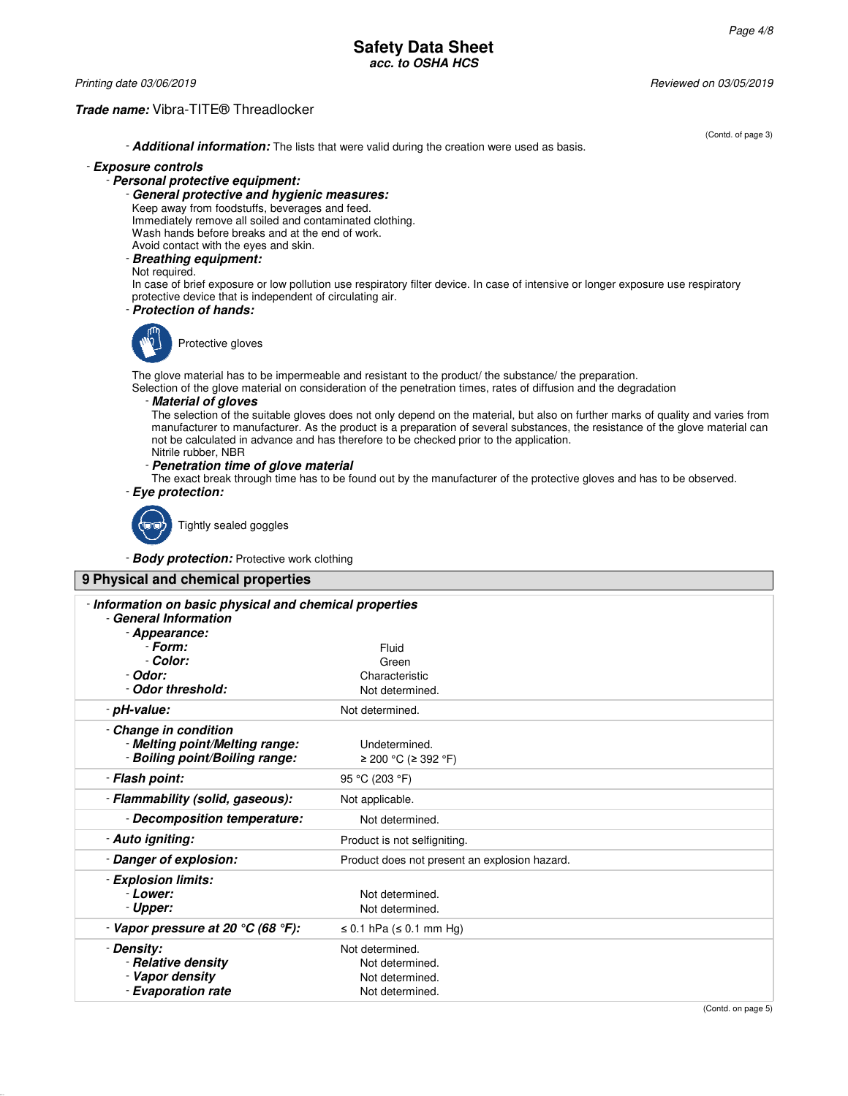(Contd. of page 3)

### **Safety Data Sheet acc. to OSHA HCS**

### **Trade name:** Vibra-TITE® Threadlocker

Printing date 03/06/2019 Reviewed on 03/05/2019

- **Additional information:** The lists that were valid during the creation were used as basis.

#### - **Exposure controls**

- **Personal protective equipment:**
	- **General protective and hygienic measures:**

Keep away from foodstuffs, beverages and feed. Immediately remove all soiled and contaminated clothing.

Wash hands before breaks and at the end of work.

Avoid contact with the eyes and skin.

- **Breathing equipment:**

Not required.

In case of brief exposure or low pollution use respiratory filter device. In case of intensive or longer exposure use respiratory protective device that is independent of circulating air.

- **Protection of hands:**



The glove material has to be impermeable and resistant to the product/ the substance/ the preparation. Selection of the glove material on consideration of the penetration times, rates of diffusion and the degradation

#### - **Material of gloves**

The selection of the suitable gloves does not only depend on the material, but also on further marks of quality and varies from manufacturer to manufacturer. As the product is a preparation of several substances, the resistance of the glove material can not be calculated in advance and has therefore to be checked prior to the application. Nitrile rubber, NBR

### - **Penetration time of glove material**

The exact break through time has to be found out by the manufacturer of the protective gloves and has to be observed. - **Eye protection:**





Tightly sealed goggles

- **Body protection:** Protective work clothing

| 9 Physical and chemical properties                                                                           |                                                                          |  |
|--------------------------------------------------------------------------------------------------------------|--------------------------------------------------------------------------|--|
| - Information on basic physical and chemical properties<br>- General Information<br>- Appearance:<br>- Form: | Fluid                                                                    |  |
| - Color:                                                                                                     | Green                                                                    |  |
| - Odor:                                                                                                      | Characteristic                                                           |  |
| - Odor threshold:                                                                                            | Not determined.                                                          |  |
| - pH-value:                                                                                                  | Not determined.                                                          |  |
| - Change in condition<br>- Melting point/Melting range:<br>- Boiling point/Boiling range:                    | Undetermined.<br>≥ 200 °C (≥ 392 °F)                                     |  |
| - Flash point:                                                                                               | 95 °C (203 °F)                                                           |  |
| - Flammability (solid, gaseous):                                                                             | Not applicable.                                                          |  |
| - Decomposition temperature:                                                                                 | Not determined.                                                          |  |
| - Auto igniting:                                                                                             | Product is not selfigniting.                                             |  |
| - Danger of explosion:                                                                                       | Product does not present an explosion hazard.                            |  |
| - Explosion limits:<br>- Lower:<br>- Upper:                                                                  | Not determined.<br>Not determined.                                       |  |
| - Vapor pressure at 20 $^{\circ}$ C (68 $^{\circ}$ F):                                                       | $\leq$ 0.1 hPa ( $\leq$ 0.1 mm Hg)                                       |  |
| - Density:<br>- Relative density<br>- Vapor density<br>- Evaporation rate                                    | Not determined.<br>Not determined.<br>Not determined.<br>Not determined. |  |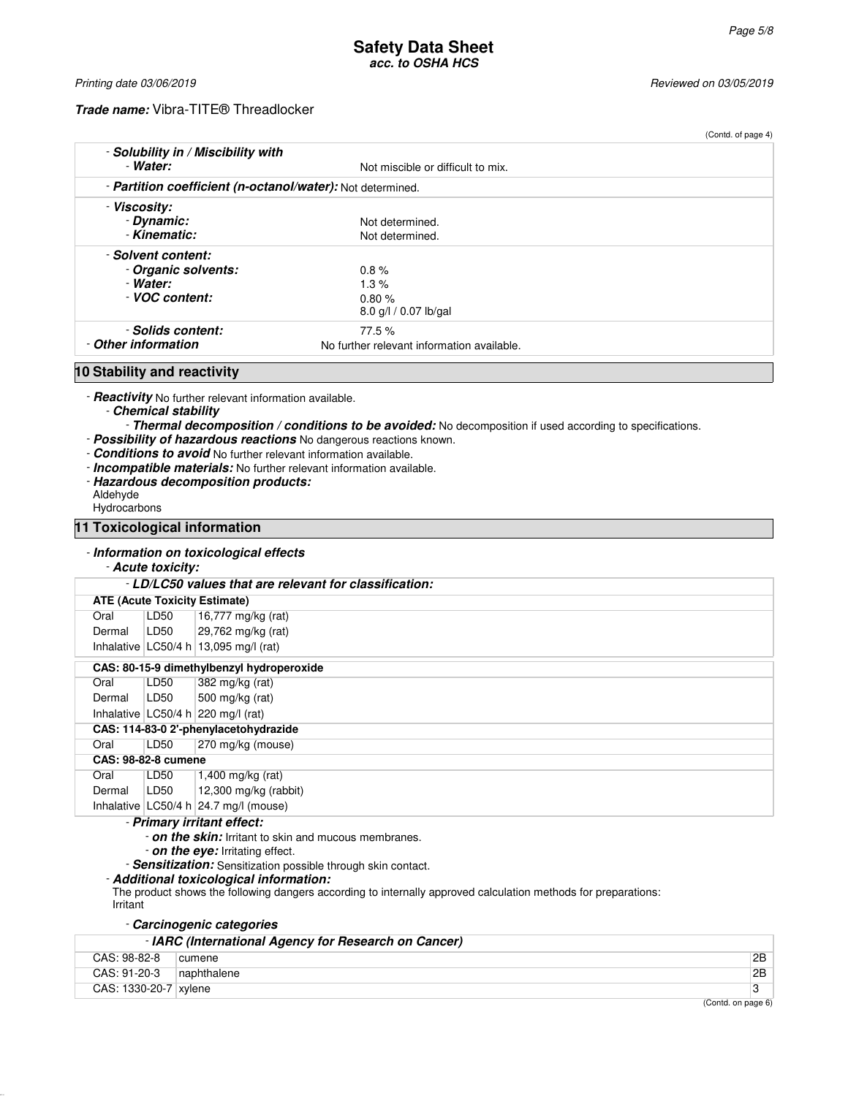#### **Trade name:** Vibra-TITE® Threadlocker

|                                                                   |                                            | (Contd. of page 4) |
|-------------------------------------------------------------------|--------------------------------------------|--------------------|
| - Solubility in / Miscibility with                                |                                            |                    |
| - Water:                                                          | Not miscible or difficult to mix.          |                    |
| - <b>Partition coefficient (n-octanol/water):</b> Not determined. |                                            |                    |
| - Viscosity:                                                      |                                            |                    |
| - Dynamic:                                                        | Not determined.                            |                    |
| - Kinematic:                                                      | Not determined.                            |                    |
| - Solvent content:                                                |                                            |                    |
| - Organic solvents:                                               | 0.8%                                       |                    |
| - Water:                                                          | 1.3%                                       |                    |
| VOC content:                                                      | 0.80%                                      |                    |
|                                                                   | 8.0 g/l / 0.07 lb/gal                      |                    |
| - Solids content:                                                 | 77.5 %                                     |                    |
| - Other information                                               | No further relevant information available. |                    |
| <b>10 Stability and reactivity</b>                                |                                            |                    |
| - <b>Reactivity</b> No further relevant information available.    |                                            |                    |

- **Chemical stability**

- **Thermal decomposition / conditions to be avoided:** No decomposition if used according to specifications.
- **Possibility of hazardous reactions** No dangerous reactions known.
- **Conditions to avoid** No further relevant information available.
- **Incompatible materials:** No further relevant information available.
- **Hazardous decomposition products:**
- Aldehyde
- Hydrocarbons

### **11 Toxicological information**

### - **Information on toxicological effects**

### - **Acute toxicity:**

|                            |                  | - LD/LC50 values that are relevant for classification: |
|----------------------------|------------------|--------------------------------------------------------|
|                            |                  | <b>ATE (Acute Toxicity Estimate)</b>                   |
| Oral                       | LD50             | 16,777 mg/kg (rat)                                     |
| Dermal                     | LD50             | 29,762 mg/kg (rat)                                     |
|                            |                  | Inhalative $ LOG0/4 h 13.095 mg/1 (rat)$               |
|                            |                  | CAS: 80-15-9 dimethylbenzyl hydroperoxide              |
| Oral                       | LD50             | 382 mg/kg (rat)                                        |
| Dermal                     | LD <sub>50</sub> | 500 mg/kg (rat)                                        |
|                            |                  | Inhalative $ LG50/4 h 220 mg/l$ (rat)                  |
|                            |                  | CAS: 114-83-0 2'-phenylacetohydrazide                  |
| Oral                       | LD50             | 270 mg/kg (mouse)                                      |
| <b>CAS: 98-82-8 cumene</b> |                  |                                                        |
| Oral                       | LD50             | 1,400 mg/kg (rat)                                      |
| Dermal                     | LD50             | 12,300 mg/kg (rabbit)                                  |
|                            |                  | Inhalative $ LG50/4 h 24.7 mg/l$ (mouse)               |
|                            |                  | Pulman Ludrant affairs                                 |

### - **Primary irritant effect:**

- **on the skin:** Irritant to skin and mucous membranes.

- **on the eye:** Irritating effect.
- **Sensitization:** Sensitization possible through skin contact.

#### - **Additional toxicological information:**

The product shows the following dangers according to internally approved calculation methods for preparations: Irritant

#### - **Carcinogenic categories**

|                       | - IARC (International Agency for Research on Cancer) |    |
|-----------------------|------------------------------------------------------|----|
| CAS: 98-82-8          | cumene                                               | 2B |
| CAS: 91-20-3          | naphthalene                                          | 2B |
| CAS: 1330-20-7 xylene |                                                      |    |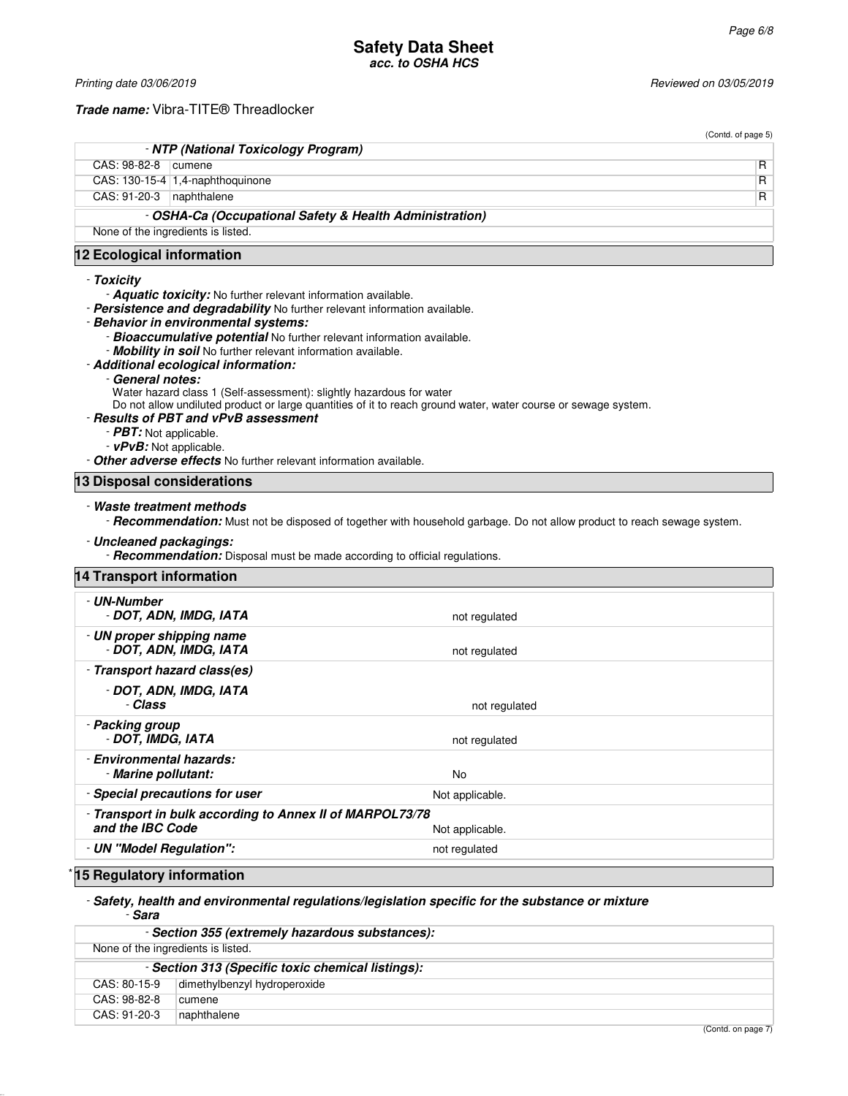Printing date 03/06/2019 **Reviewed on 03/05/2019** 

## **Trade name:** Vibra-TITE® Threadlocker

|                                                                                             |                                                                                                                                                                                                                                                                | (Contd. of page 5)                                                                                                                                                                                                                                                                                                                                                                                                   |   |
|---------------------------------------------------------------------------------------------|----------------------------------------------------------------------------------------------------------------------------------------------------------------------------------------------------------------------------------------------------------------|----------------------------------------------------------------------------------------------------------------------------------------------------------------------------------------------------------------------------------------------------------------------------------------------------------------------------------------------------------------------------------------------------------------------|---|
|                                                                                             | - NTP (National Toxicology Program)                                                                                                                                                                                                                            |                                                                                                                                                                                                                                                                                                                                                                                                                      |   |
| CAS: 98-82-8                                                                                | cumene                                                                                                                                                                                                                                                         |                                                                                                                                                                                                                                                                                                                                                                                                                      | R |
|                                                                                             | CAS: 130-15-4 1,4-naphthoquinone                                                                                                                                                                                                                               |                                                                                                                                                                                                                                                                                                                                                                                                                      | R |
| CAS: 91-20-3                                                                                | naphthalene                                                                                                                                                                                                                                                    |                                                                                                                                                                                                                                                                                                                                                                                                                      | R |
|                                                                                             |                                                                                                                                                                                                                                                                | - OSHA-Ca (Occupational Safety & Health Administration)                                                                                                                                                                                                                                                                                                                                                              |   |
|                                                                                             | None of the ingredients is listed.                                                                                                                                                                                                                             |                                                                                                                                                                                                                                                                                                                                                                                                                      |   |
| 12 Ecological information                                                                   |                                                                                                                                                                                                                                                                |                                                                                                                                                                                                                                                                                                                                                                                                                      |   |
| - Toxicity<br>- General notes:<br>- PBT: Not applicable.<br>- <b>vPvB</b> : Not applicable. | - <b>Aquatic toxicity:</b> No further relevant information available.<br>- Behavior in environmental systems:<br>- Mobility in soil No further relevant information available.<br>- Additional ecological information:<br>- Results of PBT and vPvB assessment | - Persistence and degradability No further relevant information available.<br>- Bioaccumulative potential No further relevant information available.<br>Water hazard class 1 (Self-assessment): slightly hazardous for water<br>Do not allow undiluted product or large quantities of it to reach ground water, water course or sewage system.<br>- Other adverse effects No further relevant information available. |   |
| 13 Disposal considerations                                                                  |                                                                                                                                                                                                                                                                |                                                                                                                                                                                                                                                                                                                                                                                                                      |   |
| - Waste treatment methods                                                                   |                                                                                                                                                                                                                                                                | - Recommendation: Must not be disposed of together with household garbage. Do not allow product to reach sewage system.                                                                                                                                                                                                                                                                                              |   |
| - Uncleaned packagings:                                                                     |                                                                                                                                                                                                                                                                | - <b>Recommendation:</b> Disposal must be made according to official regulations.                                                                                                                                                                                                                                                                                                                                    |   |
| 14 Transport information                                                                    |                                                                                                                                                                                                                                                                |                                                                                                                                                                                                                                                                                                                                                                                                                      |   |
| - UN-Number                                                                                 | - DOT, ADN, IMDG, IATA                                                                                                                                                                                                                                         | not regulated                                                                                                                                                                                                                                                                                                                                                                                                        |   |
| - UN proper shipping name                                                                   | - DOT, ADN, IMDG, IATA                                                                                                                                                                                                                                         | not regulated                                                                                                                                                                                                                                                                                                                                                                                                        |   |
|                                                                                             | - Transport hazard class(es)                                                                                                                                                                                                                                   |                                                                                                                                                                                                                                                                                                                                                                                                                      |   |
| - Class                                                                                     | - DOT, ADN, IMDG, IATA                                                                                                                                                                                                                                         | not regulated                                                                                                                                                                                                                                                                                                                                                                                                        |   |
| - Packing group<br>- DOT, IMDG, IATA                                                        |                                                                                                                                                                                                                                                                | not regulated                                                                                                                                                                                                                                                                                                                                                                                                        |   |
| - Environmental hazards:<br>- Marine pollutant:                                             |                                                                                                                                                                                                                                                                | No                                                                                                                                                                                                                                                                                                                                                                                                                   |   |
|                                                                                             | - Special precautions for user                                                                                                                                                                                                                                 | Not applicable.                                                                                                                                                                                                                                                                                                                                                                                                      |   |
| and the IBC Code                                                                            |                                                                                                                                                                                                                                                                | - Transport in bulk according to Annex II of MARPOL73/78<br>Not applicable.                                                                                                                                                                                                                                                                                                                                          |   |

- **UN "Model Regulation":** Not regulated

# **15 Regulatory information**

### - **Safety, health and environmental regulations/legislation specific for the substance or mixture** - **Sara**

| - Section 355 (extremely hazardous substances): |                                                   |  |  |
|-------------------------------------------------|---------------------------------------------------|--|--|
|                                                 | None of the ingredients is listed.                |  |  |
|                                                 | - Section 313 (Specific toxic chemical listings): |  |  |
| CAS: 80-15-9                                    | dimethylbenzyl hydroperoxide                      |  |  |
| CAS: 98-82-8                                    | cumene                                            |  |  |
| CAS: 91-20-3                                    | naphthalene                                       |  |  |
|                                                 | (Contd. on page 7)                                |  |  |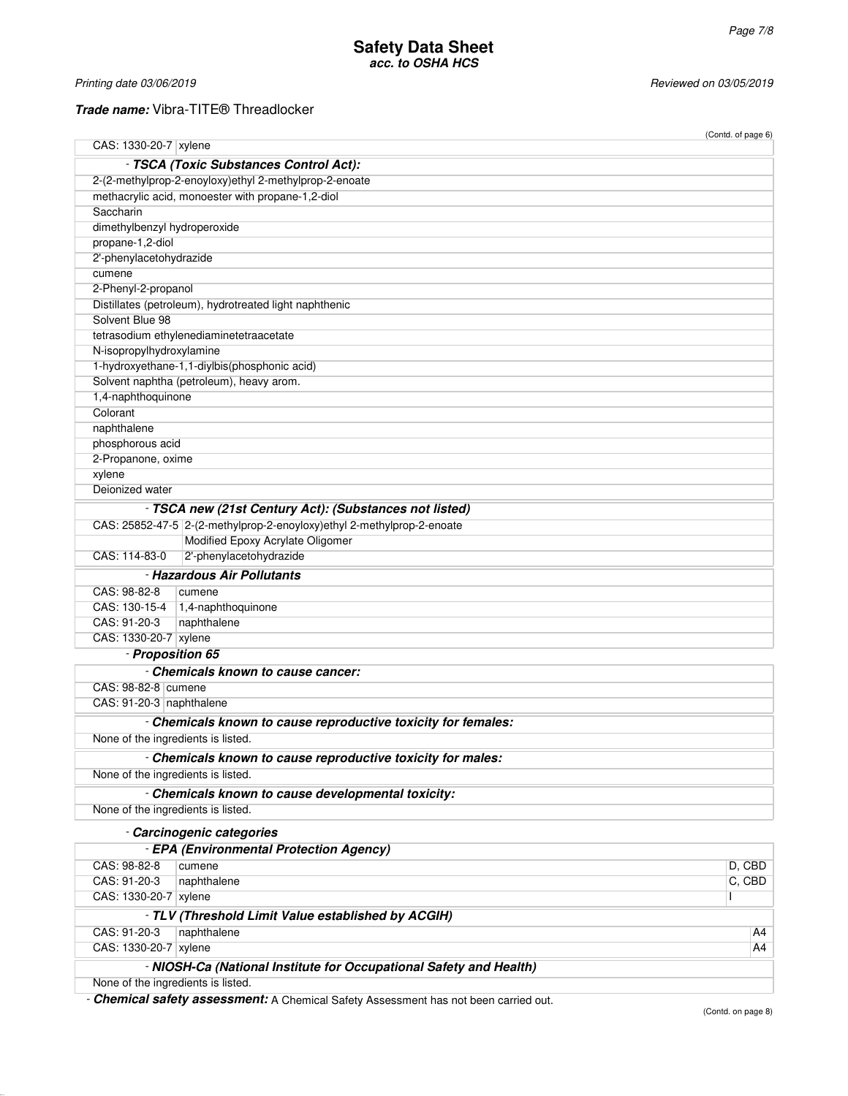Printing date 03/06/2019 **Reviewed on 03/05/2019** 

# **Trade name:** Vibra-TITE® Threadlocker

| CAS: 1330-20-7 xylene              |                                                                                                             | (Contd. of page 6) |
|------------------------------------|-------------------------------------------------------------------------------------------------------------|--------------------|
|                                    |                                                                                                             |                    |
|                                    | - TSCA (Toxic Substances Control Act):                                                                      |                    |
|                                    | 2-(2-methylprop-2-enoyloxy)ethyl 2-methylprop-2-enoate<br>methacrylic acid, monoester with propane-1,2-diol |                    |
| Saccharin                          |                                                                                                             |                    |
| dimethylbenzyl hydroperoxide       |                                                                                                             |                    |
| propane-1,2-diol                   |                                                                                                             |                    |
| 2'-phenylacetohydrazide            |                                                                                                             |                    |
| cumene                             |                                                                                                             |                    |
| 2-Phenyl-2-propanol                |                                                                                                             |                    |
|                                    | Distillates (petroleum), hydrotreated light naphthenic                                                      |                    |
| Solvent Blue 98                    |                                                                                                             |                    |
|                                    | tetrasodium ethylenediaminetetraacetate                                                                     |                    |
| N-isopropylhydroxylamine           |                                                                                                             |                    |
|                                    | 1-hydroxyethane-1,1-diylbis(phosphonic acid)                                                                |                    |
|                                    | Solvent naphtha (petroleum), heavy arom.                                                                    |                    |
| 1,4-naphthoquinone                 |                                                                                                             |                    |
| Colorant                           |                                                                                                             |                    |
| naphthalene                        |                                                                                                             |                    |
| phosphorous acid                   |                                                                                                             |                    |
| 2-Propanone, oxime                 |                                                                                                             |                    |
| xylene                             |                                                                                                             |                    |
| Deionized water                    |                                                                                                             |                    |
|                                    |                                                                                                             |                    |
|                                    | - TSCA new (21st Century Act): (Substances not listed)                                                      |                    |
|                                    | CAS: 25852-47-5 2-(2-methylprop-2-enoyloxy)ethyl 2-methylprop-2-enoate                                      |                    |
|                                    | Modified Epoxy Acrylate Oligomer                                                                            |                    |
| CAS: 114-83-0                      | 2'-phenylacetohydrazide                                                                                     |                    |
|                                    | - Hazardous Air Pollutants                                                                                  |                    |
| CAS: 98-82-8                       | cumene                                                                                                      |                    |
|                                    | CAS: 130-15-4   1,4-naphthoquinone                                                                          |                    |
| CAS: 91-20-3                       | naphthalene                                                                                                 |                    |
| CAS: 1330-20-7 xylene              |                                                                                                             |                    |
| - Proposition 65                   |                                                                                                             |                    |
|                                    | - Chemicals known to cause cancer:                                                                          |                    |
| CAS: 98-82-8   cumene              |                                                                                                             |                    |
| CAS: 91-20-3 naphthalene           |                                                                                                             |                    |
|                                    | - Chemicals known to cause reproductive toxicity for females:                                               |                    |
| None of the ingredients is listed. |                                                                                                             |                    |
|                                    |                                                                                                             |                    |
|                                    | - Chemicals known to cause reproductive toxicity for males:                                                 |                    |
| None of the ingredients is listed. |                                                                                                             |                    |
|                                    | - Chemicals known to cause developmental toxicity:                                                          |                    |
| None of the ingredients is listed. |                                                                                                             |                    |
|                                    | - Carcinogenic categories                                                                                   |                    |
|                                    | - EPA (Environmental Protection Agency)                                                                     |                    |
| CAS: 98-82-8                       |                                                                                                             |                    |
|                                    | cumene                                                                                                      | D, CBD             |
| CAS: 91-20-3                       | naphthalene                                                                                                 | C, CBD<br>I        |
| CAS: 1330-20-7 xylene              |                                                                                                             |                    |
|                                    | - TLV (Threshold Limit Value established by ACGIH)                                                          |                    |
| CAS: 91-20-3                       | naphthalene                                                                                                 | A4                 |
| CAS: 1330-20-7 xylene              |                                                                                                             | A4                 |
|                                    | - NIOSH-Ca (National Institute for Occupational Safety and Health)                                          |                    |
| None of the ingredients is listed. |                                                                                                             |                    |
|                                    | - Chemical safety assessment: A Chemical Safety Assessment has not been carried out.                        |                    |